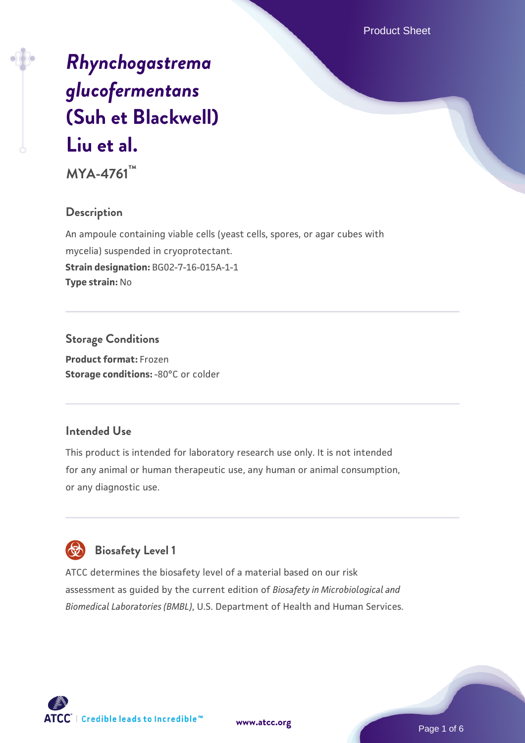Product Sheet

# *[Rhynchogastrema](https://www.atcc.org/products/mya-4761) [glucofermentans](https://www.atcc.org/products/mya-4761)* **[\(Suh et Blackwell\)](https://www.atcc.org/products/mya-4761) [Liu et al.](https://www.atcc.org/products/mya-4761) MYA-4761™**

#### **Description**

An ampoule containing viable cells (yeast cells, spores, or agar cubes with mycelia) suspended in cryoprotectant. **Strain designation:** BG02-7-16-015A-1-1 **Type strain:** No

## **Storage Conditions**

**Product format:** Frozen **Storage conditions: -80°C or colder** 

#### **Intended Use**

This product is intended for laboratory research use only. It is not intended for any animal or human therapeutic use, any human or animal consumption, or any diagnostic use.

## **Biosafety Level 1**

ATCC determines the biosafety level of a material based on our risk assessment as guided by the current edition of *Biosafety in Microbiological and Biomedical Laboratories (BMBL)*, U.S. Department of Health and Human Services.



**[www.atcc.org](http://www.atcc.org)**

Page 1 of 6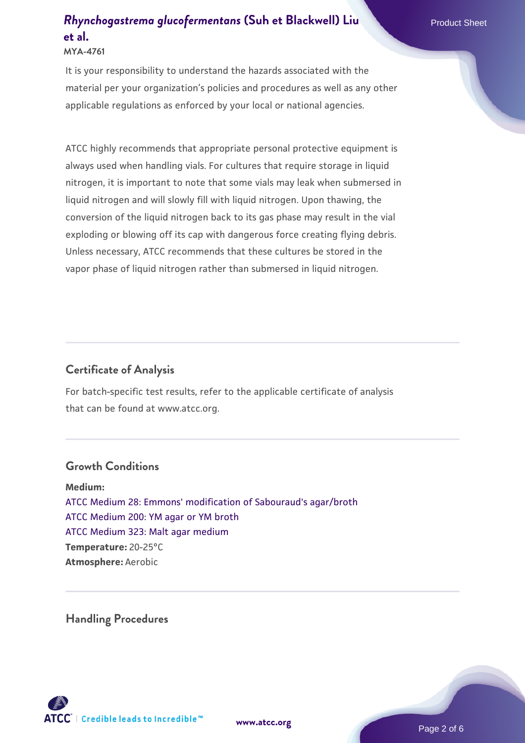## **[Rhynchogastrema glucofermentans](https://www.atcc.org/products/mya-4761) [\(Suh et Blackwell\) Liu](https://www.atcc.org/products/mya-4761) Product Sheet [et al.](https://www.atcc.org/products/mya-4761)**

#### **MYA-4761**

It is your responsibility to understand the hazards associated with the material per your organization's policies and procedures as well as any other applicable regulations as enforced by your local or national agencies.

ATCC highly recommends that appropriate personal protective equipment is always used when handling vials. For cultures that require storage in liquid nitrogen, it is important to note that some vials may leak when submersed in liquid nitrogen and will slowly fill with liquid nitrogen. Upon thawing, the conversion of the liquid nitrogen back to its gas phase may result in the vial exploding or blowing off its cap with dangerous force creating flying debris. Unless necessary, ATCC recommends that these cultures be stored in the vapor phase of liquid nitrogen rather than submersed in liquid nitrogen.

#### **Certificate of Analysis**

For batch-specific test results, refer to the applicable certificate of analysis that can be found at www.atcc.org.

#### **Growth Conditions**

**Medium:**  [ATCC Medium 28: Emmons' modification of Sabouraud's agar/broth](https://www.atcc.org/-/media/product-assets/documents/microbial-media-formulations/2/8/atcc-medium-28.pdf?rev=0da0c58cc2a343eeae735016b70809bb) [ATCC Medium 200: YM agar or YM broth](https://www.atcc.org/-/media/product-assets/documents/microbial-media-formulations/2/0/0/atcc-medium-200.pdf?rev=ac40fd74dc13433a809367b0b9da30fc) [ATCC Medium 323: Malt agar medium](https://www.atcc.org/-/media/product-assets/documents/microbial-media-formulations/3/2/3/atcc-medium-323.pdf?rev=58d6457ee20149d7a1c844947569ef92) **Temperature:** 20-25°C **Atmosphere:** Aerobic

**Handling Procedures**

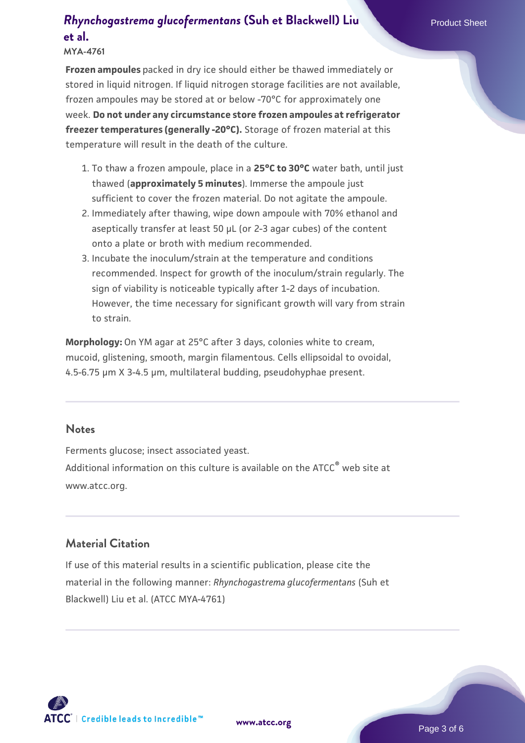### **[Rhynchogastrema glucofermentans](https://www.atcc.org/products/mya-4761) [\(Suh et Blackwell\) Liu](https://www.atcc.org/products/mya-4761) Product Sheet [et al.](https://www.atcc.org/products/mya-4761)**

**Frozen ampoules** packed in dry ice should either be thawed immediately or stored in liquid nitrogen. If liquid nitrogen storage facilities are not available, frozen ampoules may be stored at or below -70°C for approximately one week. **Do not under any circumstance store frozen ampoules at refrigerator freezer temperatures (generally -20°C).** Storage of frozen material at this temperature will result in the death of the culture.

- 1. To thaw a frozen ampoule, place in a **25°C to 30°C** water bath, until just thawed (**approximately 5 minutes**). Immerse the ampoule just sufficient to cover the frozen material. Do not agitate the ampoule.
- 2. Immediately after thawing, wipe down ampoule with 70% ethanol and aseptically transfer at least 50 µL (or 2-3 agar cubes) of the content onto a plate or broth with medium recommended.
- Incubate the inoculum/strain at the temperature and conditions 3. recommended. Inspect for growth of the inoculum/strain regularly. The sign of viability is noticeable typically after 1-2 days of incubation. However, the time necessary for significant growth will vary from strain to strain.

**Morphology:** On YM agar at 25°C after 3 days, colonies white to cream, mucoid, glistening, smooth, margin filamentous. Cells ellipsoidal to ovoidal, 4.5-6.75 µm X 3-4.5 µm, multilateral budding, pseudohyphae present.

#### **Notes**

Ferments glucose; insect associated yeast. Additional information on this culture is available on the ATCC<sup>®</sup> web site at www.atcc.org.

#### **Material Citation**

If use of this material results in a scientific publication, please cite the material in the following manner: *Rhynchogastrema glucofermentans* (Suh et Blackwell) Liu et al. (ATCC MYA-4761)

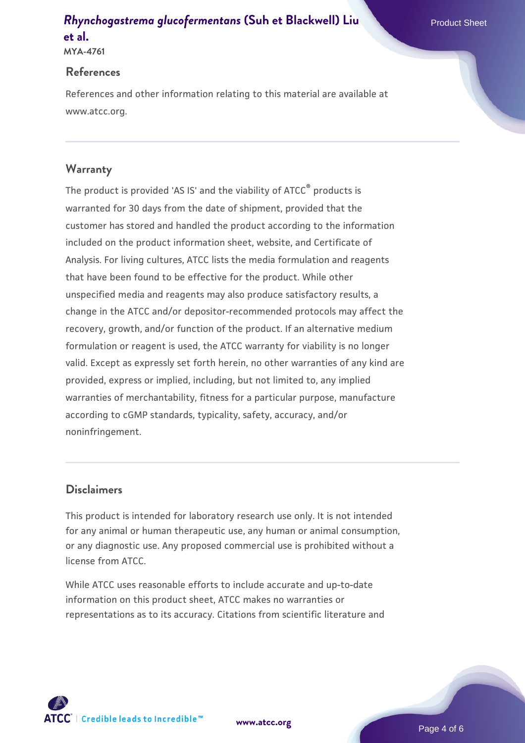#### **[Rhynchogastrema glucofermentans](https://www.atcc.org/products/mya-4761) [\(Suh et Blackwell\) Liu](https://www.atcc.org/products/mya-4761) Product Sheet [et al.](https://www.atcc.org/products/mya-4761) MYA-4761**

#### **References**

References and other information relating to this material are available at www.atcc.org.

#### **Warranty**

The product is provided 'AS IS' and the viability of ATCC® products is warranted for 30 days from the date of shipment, provided that the customer has stored and handled the product according to the information included on the product information sheet, website, and Certificate of Analysis. For living cultures, ATCC lists the media formulation and reagents that have been found to be effective for the product. While other unspecified media and reagents may also produce satisfactory results, a change in the ATCC and/or depositor-recommended protocols may affect the recovery, growth, and/or function of the product. If an alternative medium formulation or reagent is used, the ATCC warranty for viability is no longer valid. Except as expressly set forth herein, no other warranties of any kind are provided, express or implied, including, but not limited to, any implied warranties of merchantability, fitness for a particular purpose, manufacture according to cGMP standards, typicality, safety, accuracy, and/or noninfringement.

#### **Disclaimers**

This product is intended for laboratory research use only. It is not intended for any animal or human therapeutic use, any human or animal consumption, or any diagnostic use. Any proposed commercial use is prohibited without a license from ATCC.

While ATCC uses reasonable efforts to include accurate and up-to-date information on this product sheet, ATCC makes no warranties or representations as to its accuracy. Citations from scientific literature and

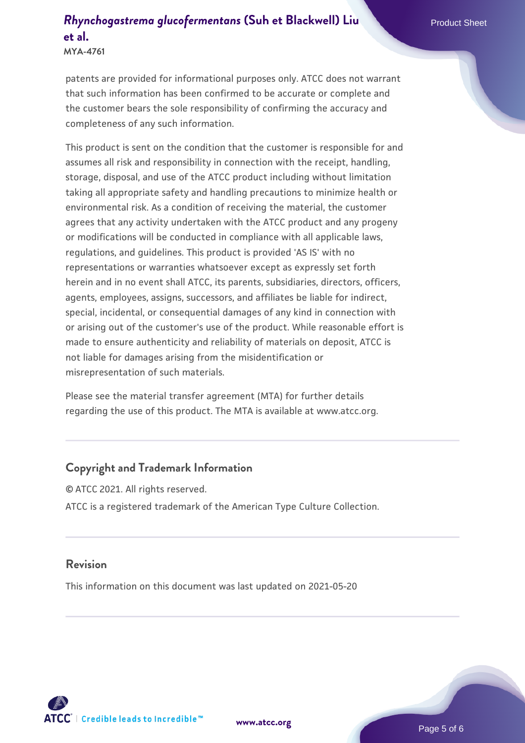## **[Rhynchogastrema glucofermentans](https://www.atcc.org/products/mya-4761) [\(Suh et Blackwell\) Liu](https://www.atcc.org/products/mya-4761) Product Sheet [et al.](https://www.atcc.org/products/mya-4761)**

**MYA-4761**

patents are provided for informational purposes only. ATCC does not warrant that such information has been confirmed to be accurate or complete and the customer bears the sole responsibility of confirming the accuracy and completeness of any such information.

This product is sent on the condition that the customer is responsible for and assumes all risk and responsibility in connection with the receipt, handling, storage, disposal, and use of the ATCC product including without limitation taking all appropriate safety and handling precautions to minimize health or environmental risk. As a condition of receiving the material, the customer agrees that any activity undertaken with the ATCC product and any progeny or modifications will be conducted in compliance with all applicable laws, regulations, and guidelines. This product is provided 'AS IS' with no representations or warranties whatsoever except as expressly set forth herein and in no event shall ATCC, its parents, subsidiaries, directors, officers, agents, employees, assigns, successors, and affiliates be liable for indirect, special, incidental, or consequential damages of any kind in connection with or arising out of the customer's use of the product. While reasonable effort is made to ensure authenticity and reliability of materials on deposit, ATCC is not liable for damages arising from the misidentification or misrepresentation of such materials.

Please see the material transfer agreement (MTA) for further details regarding the use of this product. The MTA is available at www.atcc.org.

#### **Copyright and Trademark Information**

© ATCC 2021. All rights reserved. ATCC is a registered trademark of the American Type Culture Collection.

#### **Revision**

This information on this document was last updated on 2021-05-20